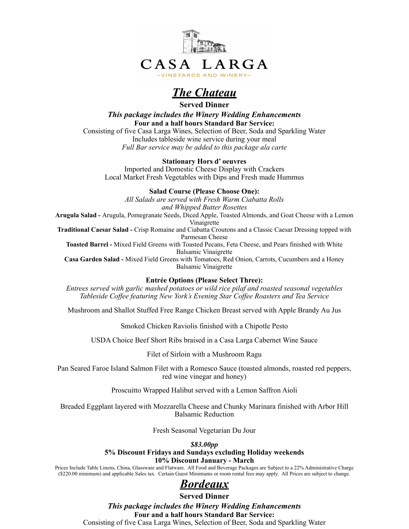

# *The Chateau*

**Served Dinner** 

*This package includes the Winery Wedding Enhancements* **Four and a half hours Standard Bar Service:** 

Consisting of five Casa Larga Wines, Selection of Beer, Soda and Sparkling Water Includes tableside wine service during your meal *Full Bar service may be added to this package ala carte* 

#### **Stationary Hors d' oeuvres**

Imported and Domestic Cheese Display with Crackers Local Market Fresh Vegetables with Dips and Fresh made Hummus

**Salad Course (Please Choose One):** 

*All Salads are served with Fresh Warm Ciabatta Rolls and Whipped Butter Rosettes*  **Arugula Salad -** Arugula, Pomegranate Seeds, Diced Apple, Toasted Almonds, and Goat Cheese with a Lemon Vinaigrette **Traditional Caesar Salad -** Crisp Romaine and Ciabatta Croutons and a Classic Caesar Dressing topped with Parmesan Cheese **Toasted Barrel -** Mixed Field Greens with Toasted Pecans, Feta Cheese, and Pears finished with White Balsamic Vinaigrette **Casa Garden Salad -** Mixed Field Greens with Tomatoes, Red Onion, Carrots, Cucumbers and a Honey Balsamic Vinaigrette **Entrée Options (Please Select Three):** 

*Entrees served with garlic mashed potatoes or wild rice pilaf and roasted seasonal vegetables Tableside Coffee featuring New York's Evening Star Coffee Roasters and Tea Service* 

Mushroom and Shallot Stuffed Free Range Chicken Breast served with Apple Brandy Au Jus

Smoked Chicken Raviolis finished with a Chipotle Pesto

USDA Choice Beef Short Ribs braised in a Casa Larga Cabernet Wine Sauce

Filet of Sirloin with a Mushroom Ragu

Pan Seared Faroe Island Salmon Filet with a Romesco Sauce (toasted almonds, roasted red peppers, red wine vinegar and honey)

Proscuitto Wrapped Halibut served with a Lemon Saffron Aioli

Breaded Eggplant layered with Mozzarella Cheese and Chunky Marinara finished with Arbor Hill Balsamic Reduction

Fresh Seasonal Vegetarian Du Jour

#### *\$83.00pp*

#### **5% Discount Fridays and Sundays excluding Holiday weekends 10% Discount January - March**

Prices Include Table Linens, China, Glassware and Flatware. All Food and Beverage Packages are Subject to a 22% Administrative Charge (\$220.00 minimum) and applicable Sales tax. Certain Guest Minimums or room rental fees may apply. All Prices are subject to change.

### *Bordeaux*

**Served Dinner** 

*This package includes the Winery Wedding Enhancements* **Four and a half hours Standard Bar Service:** 

Consisting of five Casa Larga Wines, Selection of Beer, Soda and Sparkling Water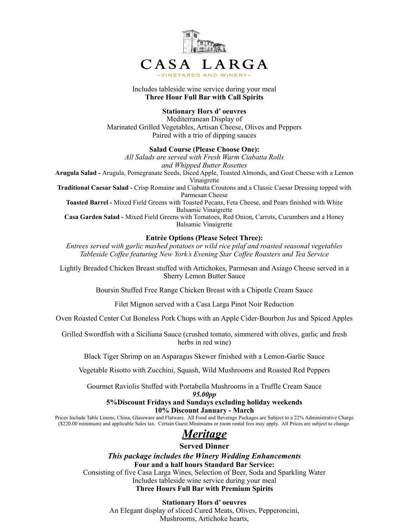

Includes tableside wine service during your meal **Three Hour Full Bar with Call Spirits** 

#### **Stationary Hors d' oeuvres**

Mediterranean Display of Marinated Grilled Vegetables, Artisan Cheese, Olives and Peppers Paired with a trio of dipping sauces

#### **Salad Course (Please Choose One):**

*All Salads are served with Fresh Warm Ciabatta Rolls and Whipped Butter Rosettes*  **Arugula Salad -** Arugula, Pomegranate Seeds, Diced Apple, Toasted Almonds, and Goat Cheese with a Lemon Vinaigrette **Traditional Caesar Salad -** Crisp Romaine and Ciabatta Croutons and a Classic Caesar Dressing topped with Parmesan Cheese **Toasted Barrel -** Mixed Field Greens with Toasted Pecans, Feta Cheese, and Pears finished with White Balsamic Vinaigrette **Casa Garden Salad -** Mixed Field Greens with Tomatoes, Red Onion, Carrots, Cucumbers and a Honey Balsamic Vinaigrette

#### **Entrée Options (Please Select Three):**

*Entrees served with garlic mashed potatoes or wild rice pilaf and roasted seasonal vegetables Tableside Coffee featuring New York's Evening Star Coffee Roasters and Tea Service* 

Lightly Breaded Chicken Breast stuffed with Artichokes, Parmesan and Asiago Cheese served in a Sherry Lemon Butter Sauce

Boursin Stuffed Free Range Chicken Breast with a Chipotle Cream Sauce

Filet Mignon served with a Casa Larga Pinot Noir Reduction

Oven Roasted Center Cut Boneless Pork Chops with an Apple Cider-Bourbon Jus and Spiced Apples

Grilled Swordfish with a Siciliana Sauce (crushed tomato, simmered with olives, garlic and fresh herbs in red wine)

Black Tiger Shrimp on an Asparagus Skewer finished with a Lemon-Garlic Sauce

Vegetable Risotto with Zucchini, Squash, Wild Mushrooms and Roasted Red Peppers

Gourmet Raviolis Stuffed with Portabella Mushrooms in a Truffle Cream Sauce

*95.00pp* 

#### **5%Discount Fridays and Sundays excluding holiday weekends 10% Discount January - March**

Prices Include Table Linens, China, Glassware and Flatware. All Food and Beverage Packages are Subject to a 22% Administrative Charge (\$220.00 minimum) and applicable Sales tax. Certain Guest Minimums or room rental fees may apply. All Prices are subject to change.

# *Meritage*

#### **Served Dinner**

*This package includes the Winery Wedding Enhancements* **Four and a half hours Standard Bar Service:** 

Consisting of five Casa Larga Wines, Selection of Beer, Soda and Sparkling Water Includes tableside wine service during your meal **Three Hours Full Bar with Premium Spirits** 

> **Stationary Hors d' oeuvres**  An Elegant display of sliced Cured Meats, Olives, Pepperoncini, Mushrooms, Artichoke hearts,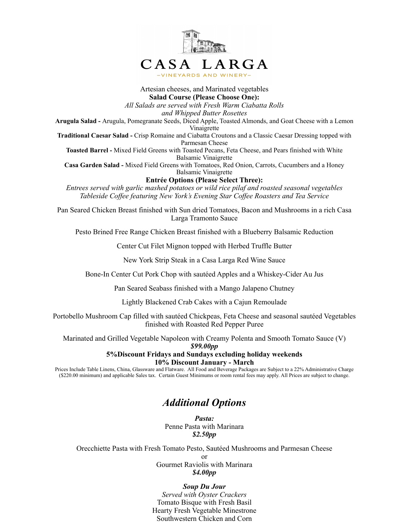

Artesian cheeses, and Marinated vegetables **Salad Course (Please Choose One):**  *All Salads are served with Fresh Warm Ciabatta Rolls* 

*and Whipped Butter Rosettes* 

**Arugula Salad -** Arugula, Pomegranate Seeds, Diced Apple, Toasted Almonds, and Goat Cheese with a Lemon Vinaigrette

**Traditional Caesar Salad -** Crisp Romaine and Ciabatta Croutons and a Classic Caesar Dressing topped with Parmesan Cheese

**Toasted Barrel -** Mixed Field Greens with Toasted Pecans, Feta Cheese, and Pears finished with White Balsamic Vinaigrette

**Casa Garden Salad -** Mixed Field Greens with Tomatoes, Red Onion, Carrots, Cucumbers and a Honey Balsamic Vinaigrette

**Entrée Options (Please Select Three):** 

*Entrees served with garlic mashed potatoes or wild rice pilaf and roasted seasonal vegetables Tableside Coffee featuring New York's Evening Star Coffee Roasters and Tea Service* 

Pan Seared Chicken Breast finished with Sun dried Tomatoes, Bacon and Mushrooms in a rich Casa Larga Tramonto Sauce

Pesto Brined Free Range Chicken Breast finished with a Blueberry Balsamic Reduction

Center Cut Filet Mignon topped with Herbed Truffle Butter

New York Strip Steak in a Casa Larga Red Wine Sauce

Bone-In Center Cut Pork Chop with sautéed Apples and a Whiskey-Cider Au Jus

Pan Seared Seabass finished with a Mango Jalapeno Chutney

Lightly Blackened Crab Cakes with a Cajun Remoulade

Portobello Mushroom Cap filled with sautéed Chickpeas, Feta Cheese and seasonal sautéed Vegetables finished with Roasted Red Pepper Puree

Marinated and Grilled Vegetable Napoleon with Creamy Polenta and Smooth Tomato Sauce (V)

*\$99.00pp* 

**5%Discount Fridays and Sundays excluding holiday weekends 10% Discount January - March** 

Prices Include Table Linens, China, Glassware and Flatware. All Food and Beverage Packages are Subject to a 22% Administrative Charge (\$220.00 minimum) and applicable Sales tax. Certain Guest Minimums or room rental fees may apply. All Prices are subject to change.

### *Additional Options*

*Pasta:*  Penne Pasta with Marinara *\$2.50pp* 

Orecchiette Pasta with Fresh Tomato Pesto, Sautéed Mushrooms and Parmesan Cheese

or Gourmet Raviolis with Marinara *\$4.00pp* 

#### *Soup Du Jour*

*Served with Oyster Crackers*  Tomato Bisque with Fresh Basil Hearty Fresh Vegetable Minestrone Southwestern Chicken and Corn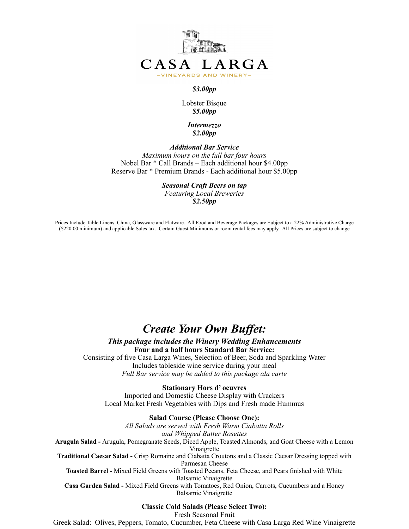

#### *\$3.00pp*

#### Lobster Bisque *\$5.00pp*

#### *Intermezzo \$2.00pp*

*Additional Bar Service Maximum hours on the full bar four hours*  Nobel Bar \* Call Brands – Each additional hour \$4.00pp Reserve Bar \* Premium Brands - Each additional hour \$5.00pp

*Seasonal Craft Beers on tap* 

*Featuring Local Breweries \$2.50pp*

Prices Include Table Linens, China, Glassware and Flatware. All Food and Beverage Packages are Subject to a 22% Administrative Charge (\$220.00 minimum) and applicable Sales tax. Certain Guest Minimums or room rental fees may apply. All Prices are subject to change

# *Create Your Own Buffet:*

#### *This package includes the Winery Wedding Enhancements* **Four and a half hours Standard Bar Service:**

Consisting of five Casa Larga Wines, Selection of Beer, Soda and Sparkling Water Includes tableside wine service during your meal *Full Bar service may be added to this package ala carte* 

**Stationary Hors d' oeuvres**  Imported and Domestic Cheese Display with Crackers Local Market Fresh Vegetables with Dips and Fresh made Hummus

#### **Salad Course (Please Choose One):**

*All Salads are served with Fresh Warm Ciabatta Rolls and Whipped Butter Rosettes*  **Arugula Salad -** Arugula, Pomegranate Seeds, Diced Apple, Toasted Almonds, and Goat Cheese with a Lemon Vinaigrette **Traditional Caesar Salad -** Crisp Romaine and Ciabatta Croutons and a Classic Caesar Dressing topped with Parmesan Cheese **Toasted Barrel -** Mixed Field Greens with Toasted Pecans, Feta Cheese, and Pears finished with White Balsamic Vinaigrette **Casa Garden Salad -** Mixed Field Greens with Tomatoes, Red Onion, Carrots, Cucumbers and a Honey Balsamic Vinaigrette

#### **Classic Cold Salads (Please Select Two):**

Fresh Seasonal Fruit

Greek Salad: Olives, Peppers, Tomato, Cucumber, Feta Cheese with Casa Larga Red Wine Vinaigrette